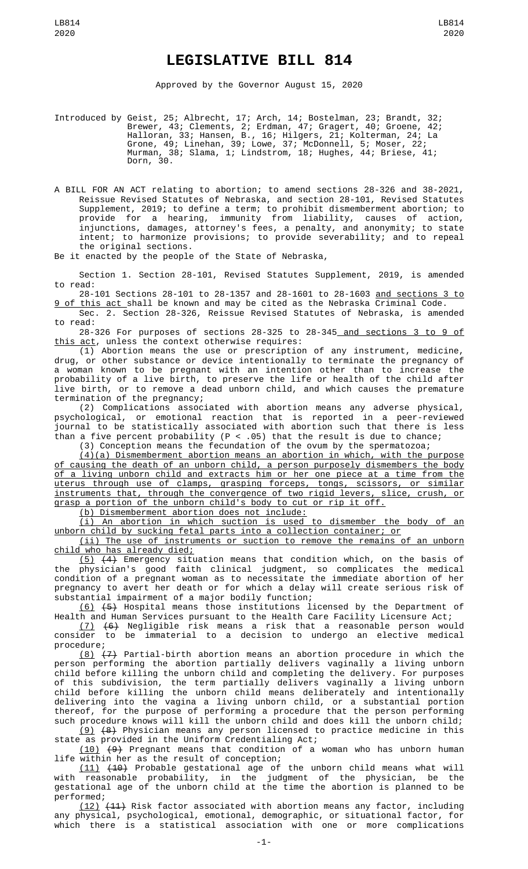LB814 2020

Approved by the Governor August 15, 2020

Introduced by Geist, 25; Albrecht, 17; Arch, 14; Bostelman, 23; Brandt, 32; Brewer, 43; Clements, 2; Erdman, 47; Gragert, 40; Groene, 42; Halloran, 33; Hansen, B., 16; Hilgers, 21; Kolterman, 24; La Grone, 49; Linehan, 39; Lowe, 37; McDonnell, 5; Moser, 22; Murman, 38; Slama, 1; Lindstrom, 18; Hughes, 44; Briese, 41; Murman, 3

A BILL FOR AN ACT relating to abortion; to amend sections 28-326 and 38-2021, Reissue Revised Statutes of Nebraska, and section 28-101, Revised Statutes Supplement, 2019; to define a term; to prohibit dismemberment abortion; to provide for a hearing, immunity from liability, causes of action, injunctions, damages, attorney's fees, a penalty, and anonymity; to state intent; to harmonize provisions; to provide severability; and to repeal the original sections.

Be it enacted by the people of the State of Nebraska,

Section 1. Section 28-101, Revised Statutes Supplement, 2019, is amended to read:

28-101 Sections 28-101 to 28-1357 and 28-1601 to 28-1603 and sections 3 to 9 of this act shall be known and may be cited as the Nebraska Criminal Code.

Sec. 2. Section 28-326, Reissue Revised Statutes of Nebraska, is amended to read:

28-326 For purposes of sections 28-325 to 28-345<u> and sections 3 to 9 of</u> this act, unless the context otherwise requires:

(1) Abortion means the use or prescription of any instrument, medicine, drug, or other substance or device intentionally to terminate the pregnancy of a woman known to be pregnant with an intention other than to increase the probability of a live birth, to preserve the life or health of the child after live birth, or to remove a dead unborn child, and which causes the premature termination of the pregnancy;

(2) Complications associated with abortion means any adverse physical, psychological, or emotional reaction that is reported in a peer-reviewed journal to be statistically associated with abortion such that there is less than a five percent probability ( $P < .05$ ) that the result is due to chance;

(3) Conception means the fecundation of the ovum by the spermatozoa;

 $(4)(a)$  Dismemberment abortion means an abortion in which, with the purpose of causing the death of an unborn child, a person purposely dismembers the body of a living unborn child and extracts him or her one piece at a time from the uterus through use of clamps, grasping forceps, tongs, scissors, or similar instruments that, through the convergence of two rigid levers, slice, crush, or grasp a portion of the unborn child's body to cut or rip it off.

(b) Dismemberment abortion does not include:

(i) An abortion in which suction is used to dismember the body of an unborn child by sucking fetal parts into a collection container; or

(ii) The use of instruments or suction to remove the remains of an unborn child who has already died;

(5) (4) Emergency situation means that condition which, on the basis of the physician's good faith clinical judgment, so complicates the medical condition of a pregnant woman as to necessitate the immediate abortion of her pregnancy to avert her death or for which a delay will create serious risk of substantial impairment of a major bodily function;

<u>(6)</u> <del>(5)</del> Hospital means those institutions licensed by the Department of Health and Human Services pursuant to the Health Care Facility Licensure Act;

(7) (6) Negligible risk means a risk that a reasonable person would consider to be immaterial to a decision to undergo an elective medical procedure;

(8) (7) Partial-birth abortion means an abortion procedure in which the person performing the abortion partially delivers vaginally a living unborn child before killing the unborn child and completing the delivery. For purposes of this subdivision, the term partially delivers vaginally a living unborn child before killing the unborn child means deliberately and intentionally delivering into the vagina a living unborn child, or a substantial portion thereof, for the purpose of performing a procedure that the person performing such procedure knows will kill the unborn child and does kill the unborn child;

(9) (8) Physician means any person licensed to practice medicine in this state as provided in the Uniform Credentialing Act;

(10) (9) Pregnant means that condition of a woman who has unborn human life within her as the result of conception;

(11) (10) Probable gestational age of the unborn child means what will with reasonable probability, in the judgment of the physician, be the gestational age of the unborn child at the time the abortion is planned to be performed;

 $(12)$   $(11)$  Risk factor associated with abortion means any factor, including any physical, psychological, emotional, demographic, or situational factor, for which there is a statistical association with one or more complications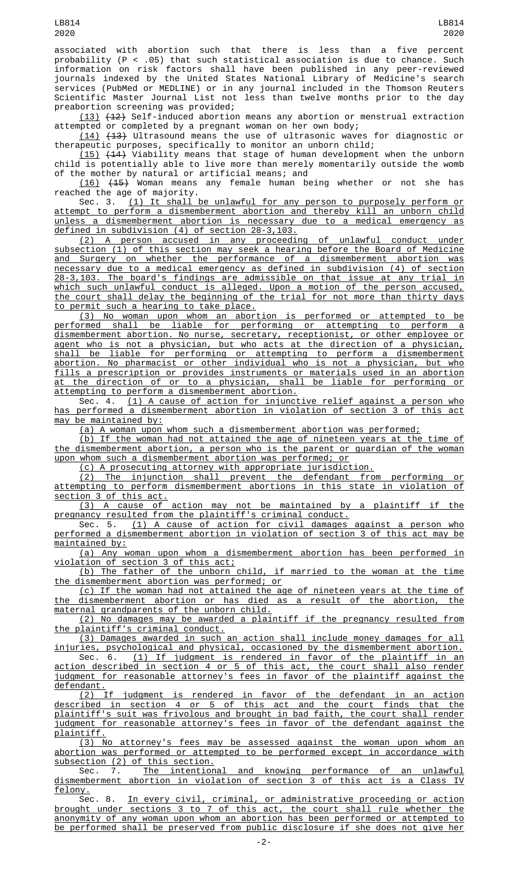associated with abortion such that there is less than a five percent probability (P < .05) that such statistical association is due to chance. Such information on risk factors shall have been published in any peer-reviewed journals indexed by the United States National Library of Medicine's search services (PubMed or MEDLINE) or in any journal included in the Thomson Reuters Scientific Master Journal List not less than twelve months prior to the day preabortion screening was provided;

(13) (12) Self-induced abortion means any abortion or menstrual extraction attempted or completed by a pregnant woman on her own body;

(14) (13) Ultrasound means the use of ultrasonic waves for diagnostic or therapeutic purposes, specifically to monitor an unborn child;

(15) (14) Viability means that stage of human development when the unborn child is potentially able to live more than merely momentarily outside the womb of the mother by natural or artificial means; and

(16) (15) Woman means any female human being whether or not she has reached the age of majority.

Sec. 3. (1) It shall be unlawful for any person to purposely perform or attempt to perform a dismemberment abortion and thereby kill an unborn child unless a dismemberment abortion is necessary due to a medical emergency as defined in subdivision (4) of section 28-3,103.

(2) A person accused in any proceeding of unlawful conduct under subsection (1) of this section may seek a hearing before the Board of Medicine and Surgery on whether the performance of a dismemberment abortion was necessary due to a medical emergency as defined in subdivision (4) of section 28-3,103. The board's findings are admissible on that issue at any trial in which such unlawful conduct is alleged. Upon a motion of the person accused, the court shall delay the beginning of the trial for not more than thirty days to permit such a hearing to take place.

(3) No woman upon whom an abortion is performed or attempted to be performed shall be liable for performing or attempting to perform a dismemberment abortion. No nurse, secretary, receptionist, or other employee or agent who is not a physician, but who acts at the direction of a physician, shall be liable for performing or attempting to perform a dismemberment abortion. No pharmacist or other individual who is not a physician, but who fills a prescription or provides instruments or materials used in an abortion at the direction of or to a physician, shall be liable for performing or attempting to perform a dismemberment abortion.

Sec. 4. <u>(1) A cause of action for injunctive relief against a person who</u> has performed a dismemberment abortion in violation of section 3 of this act may be maintained by:

(a) A woman upon whom such a dismemberment abortion was performed;

(b) If the woman had not attained the age of nineteen years at the time of the dismemberment abortion, a person who is the parent or guardian of the woman upon whom such a dismemberment abortion was performed; or

(c) A prosecuting attorney with appropriate jurisdiction.

(2) The injunction shall prevent the defendant from performing or attempting to perform dismemberment abortions in this state in violation of section 3 of this act.

(3) A cause of action may not be maintained by a plaintiff if the pregnancy resulted from the plaintiff's criminal conduct.

Sec. 5. <u>(1) A cause of action for civil damages against a person who</u> performed a dismemberment abortion in violation of section 3 of this act may be maintained by:

(a) Any woman upon whom a dismemberment abortion has been performed in violation of section 3 of this act;

(b) The father of the unborn child, if married to the woman at the time the dismemberment abortion was performed; or

(c) If the woman had not attained the age of nineteen years at the time of the dismemberment abortion or has died as a result of the abortion, the maternal grandparents of the unborn child.

(2) No damages may be awarded a plaintiff if the pregnancy resulted from the plaintiff's criminal conduct.

(3) Damages awarded in such an action shall include money damages for all injuries, psychological and physical, occasioned by the dismemberment abortion.

Sec. 6. (1) If judgment is rendered in favor of the plaintiff in an action described in section 4 or 5 of this act, the court shall also render judgment for reasonable attorney's fees in favor of the plaintiff against the defendant.

(2) If judgment is rendered in favor of the defendant in an action described in section 4 or 5 of this act and the court finds that the plaintiff's suit was frivolous and brought in bad faith, the court shall render judgment for reasonable attorney's fees in favor of the defendant against the plaintiff.

(3) No attorney's fees may be assessed against the woman upon whom an abortion was performed or attempted to be performed except in accordance with subsection (2) of this section.

Sec. 7. <u>The intentional and knowing performance of an unlawful</u> dismemberment abortion in violation of section 3 of this act is a Class IV felony.

Sec. 8. In every civil, criminal, or administrative proceeding or action brought under sections 3 to 7 of this act, the court shall rule whether the anonymity of any woman upon whom an abortion has been performed or attempted to be performed shall be preserved from public disclosure if she does not give her